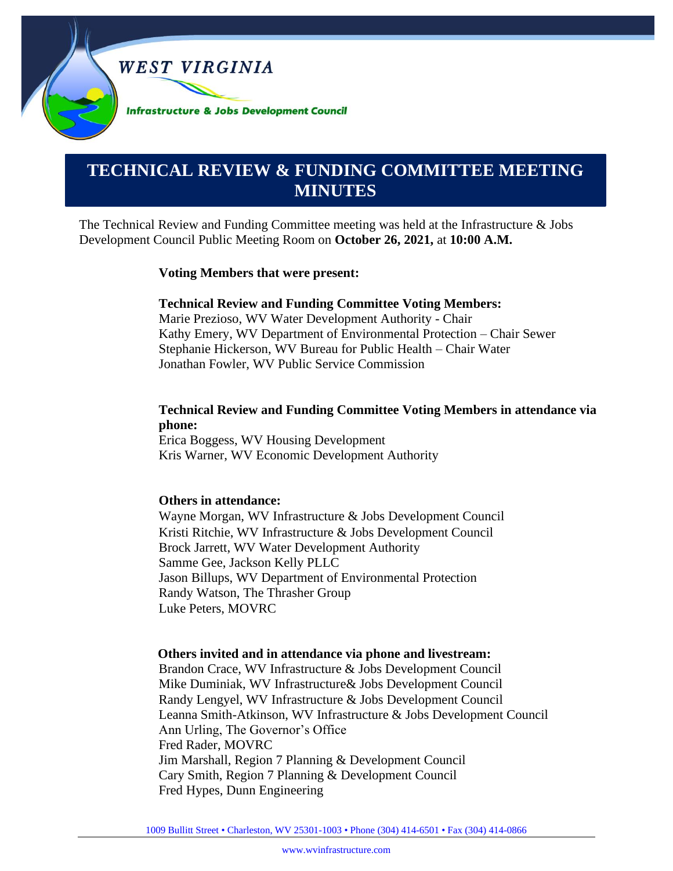

# **0000000000000000000000000000000000000000000000000000. TECHNICAL REVIEW & FUNDING COMMITTEE MEETING MINUTES**

The Technical Review and Funding Committee meeting was held at the Infrastructure & Jobs Development Council Public Meeting Room on **October 26, 2021,** at **10:00 A.M.**

#### **Voting Members that were present:**

#### **Technical Review and Funding Committee Voting Members:**

Marie Prezioso, WV Water Development Authority - Chair Kathy Emery, WV Department of Environmental Protection – Chair Sewer Stephanie Hickerson, WV Bureau for Public Health – Chair Water Jonathan Fowler, WV Public Service Commission

#### **Technical Review and Funding Committee Voting Members in attendance via phone:**

Erica Boggess, WV Housing Development Kris Warner, WV Economic Development Authority

#### **Others in attendance:**

Wayne Morgan, WV Infrastructure & Jobs Development Council Kristi Ritchie, WV Infrastructure & Jobs Development Council Brock Jarrett, WV Water Development Authority Samme Gee, Jackson Kelly PLLC Jason Billups, WV Department of Environmental Protection Randy Watson, The Thrasher Group Luke Peters, MOVRC

#### **Others invited and in attendance via phone and livestream:**

Brandon Crace, WV Infrastructure & Jobs Development Council Mike Duminiak, WV Infrastructure& Jobs Development Council Randy Lengyel, WV Infrastructure & Jobs Development Council Leanna Smith-Atkinson, WV Infrastructure & Jobs Development Council Ann Urling, The Governor's Office Fred Rader, MOVRC Jim Marshall, Region 7 Planning & Development Council Cary Smith, Region 7 Planning & Development Council Fred Hypes, Dunn Engineering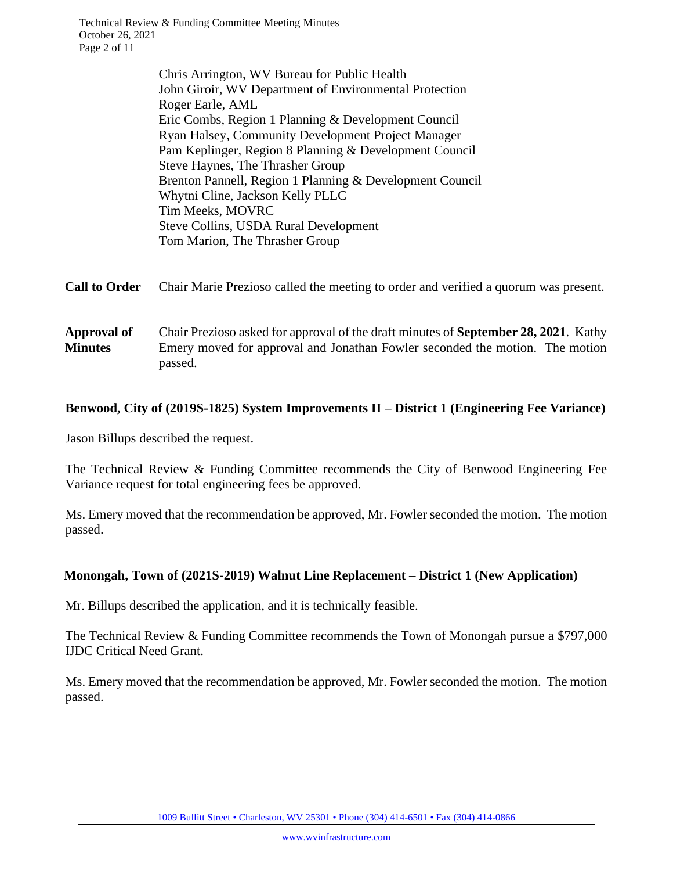Chris Arrington, WV Bureau for Public Health John Giroir, WV Department of Environmental Protection Roger Earle, AML Eric Combs, Region 1 Planning & Development Council Ryan Halsey, Community Development Project Manager Pam Keplinger, Region 8 Planning & Development Council Steve Haynes, The Thrasher Group Brenton Pannell, Region 1 Planning & Development Council Whytni Cline, Jackson Kelly PLLC Tim Meeks, MOVRC Steve Collins, USDA Rural Development Tom Marion, The Thrasher Group

#### **Call to Order** Chair Marie Prezioso called the meeting to order and verified a quorum was present.

**Approval of Minutes** Chair Prezioso asked for approval of the draft minutes of **September 28, 2021**. Kathy Emery moved for approval and Jonathan Fowler seconded the motion. The motion passed.

## **Benwood, City of (2019S-1825) System Improvements II – District 1 (Engineering Fee Variance)**

Jason Billups described the request.

The Technical Review & Funding Committee recommends the City of Benwood Engineering Fee Variance request for total engineering fees be approved.

Ms. Emery moved that the recommendation be approved, Mr. Fowler seconded the motion. The motion passed.

#### **Monongah, Town of (2021S-2019) Walnut Line Replacement – District 1 (New Application)**

Mr. Billups described the application, and it is technically feasible.

The Technical Review & Funding Committee recommends the Town of Monongah pursue a \$797,000 IJDC Critical Need Grant.

Ms. Emery moved that the recommendation be approved, Mr. Fowler seconded the motion. The motion passed.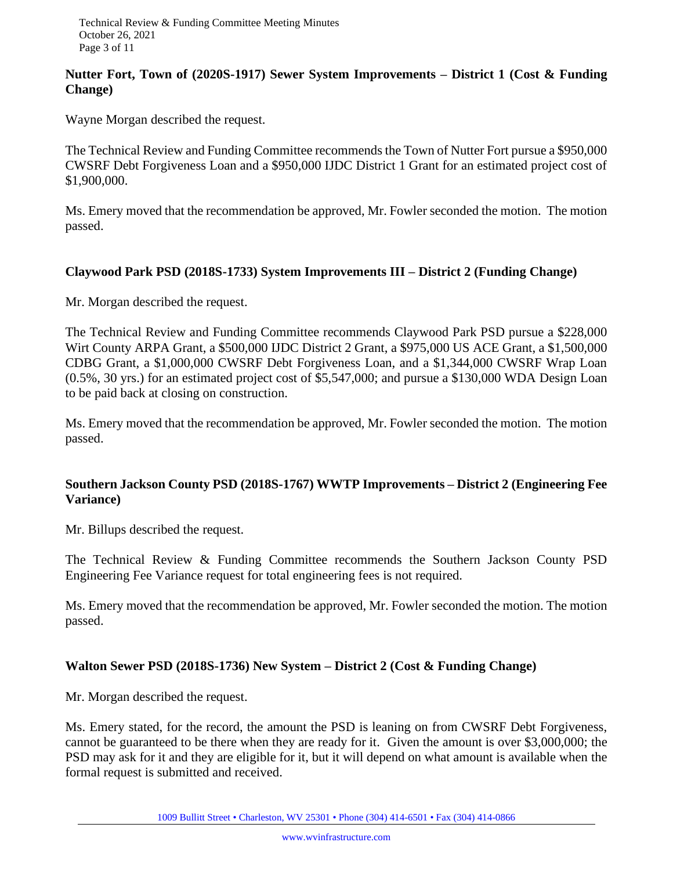# **Nutter Fort, Town of (2020S-1917) Sewer System Improvements – District 1 (Cost & Funding Change)**

Wayne Morgan described the request.

The Technical Review and Funding Committee recommends the Town of Nutter Fort pursue a \$950,000 CWSRF Debt Forgiveness Loan and a \$950,000 IJDC District 1 Grant for an estimated project cost of \$1,900,000.

Ms. Emery moved that the recommendation be approved, Mr. Fowler seconded the motion. The motion passed.

## **Claywood Park PSD (2018S-1733) System Improvements III – District 2 (Funding Change)**

Mr. Morgan described the request.

The Technical Review and Funding Committee recommends Claywood Park PSD pursue a \$228,000 Wirt County ARPA Grant, a \$500,000 IJDC District 2 Grant, a \$975,000 US ACE Grant, a \$1,500,000 CDBG Grant, a \$1,000,000 CWSRF Debt Forgiveness Loan, and a \$1,344,000 CWSRF Wrap Loan (0.5%, 30 yrs.) for an estimated project cost of \$5,547,000; and pursue a \$130,000 WDA Design Loan to be paid back at closing on construction.

Ms. Emery moved that the recommendation be approved, Mr. Fowler seconded the motion. The motion passed.

## **Southern Jackson County PSD (2018S-1767) WWTP Improvements – District 2 (Engineering Fee Variance)**

Mr. Billups described the request.

The Technical Review & Funding Committee recommends the Southern Jackson County PSD Engineering Fee Variance request for total engineering fees is not required.

Ms. Emery moved that the recommendation be approved, Mr. Fowler seconded the motion. The motion passed.

# **Walton Sewer PSD (2018S-1736) New System – District 2 (Cost & Funding Change)**

Mr. Morgan described the request.

Ms. Emery stated, for the record, the amount the PSD is leaning on from CWSRF Debt Forgiveness, cannot be guaranteed to be there when they are ready for it. Given the amount is over \$3,000,000; the PSD may ask for it and they are eligible for it, but it will depend on what amount is available when the formal request is submitted and received.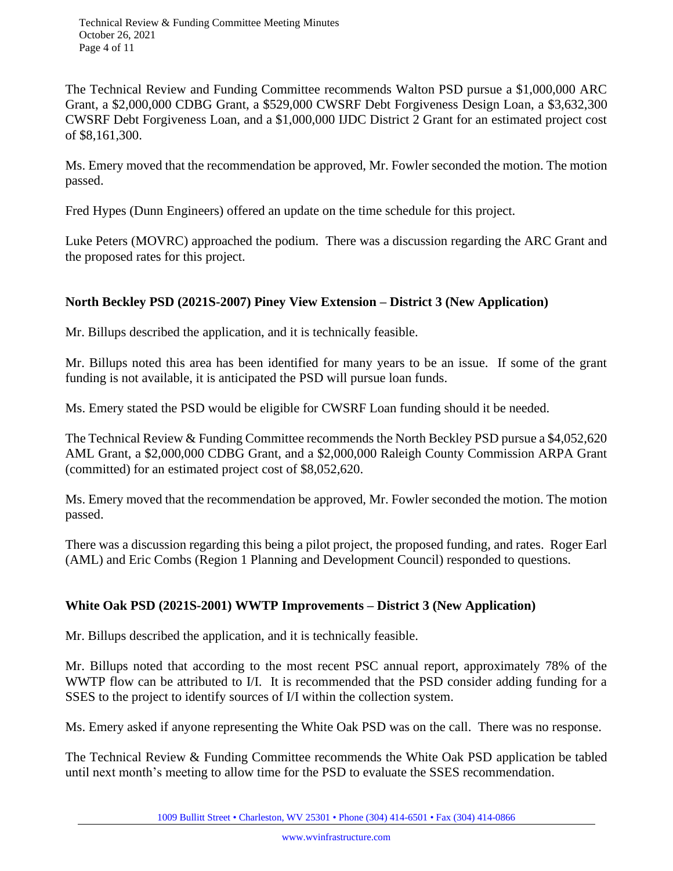The Technical Review and Funding Committee recommends Walton PSD pursue a \$1,000,000 ARC Grant, a \$2,000,000 CDBG Grant, a \$529,000 CWSRF Debt Forgiveness Design Loan, a \$3,632,300 CWSRF Debt Forgiveness Loan, and a \$1,000,000 IJDC District 2 Grant for an estimated project cost of \$8,161,300.

Ms. Emery moved that the recommendation be approved, Mr. Fowler seconded the motion. The motion passed.

Fred Hypes (Dunn Engineers) offered an update on the time schedule for this project.

Luke Peters (MOVRC) approached the podium. There was a discussion regarding the ARC Grant and the proposed rates for this project.

# **North Beckley PSD (2021S-2007) Piney View Extension – District 3 (New Application)**

Mr. Billups described the application, and it is technically feasible.

Mr. Billups noted this area has been identified for many years to be an issue. If some of the grant funding is not available, it is anticipated the PSD will pursue loan funds.

Ms. Emery stated the PSD would be eligible for CWSRF Loan funding should it be needed.

The Technical Review & Funding Committee recommends the North Beckley PSD pursue a \$4,052,620 AML Grant, a \$2,000,000 CDBG Grant, and a \$2,000,000 Raleigh County Commission ARPA Grant (committed) for an estimated project cost of \$8,052,620.

Ms. Emery moved that the recommendation be approved, Mr. Fowler seconded the motion. The motion passed.

There was a discussion regarding this being a pilot project, the proposed funding, and rates. Roger Earl (AML) and Eric Combs (Region 1 Planning and Development Council) responded to questions.

# **White Oak PSD (2021S-2001) WWTP Improvements – District 3 (New Application)**

Mr. Billups described the application, and it is technically feasible.

Mr. Billups noted that according to the most recent PSC annual report, approximately 78% of the WWTP flow can be attributed to I/I. It is recommended that the PSD consider adding funding for a SSES to the project to identify sources of I/I within the collection system.

Ms. Emery asked if anyone representing the White Oak PSD was on the call. There was no response.

The Technical Review & Funding Committee recommends the White Oak PSD application be tabled until next month's meeting to allow time for the PSD to evaluate the SSES recommendation.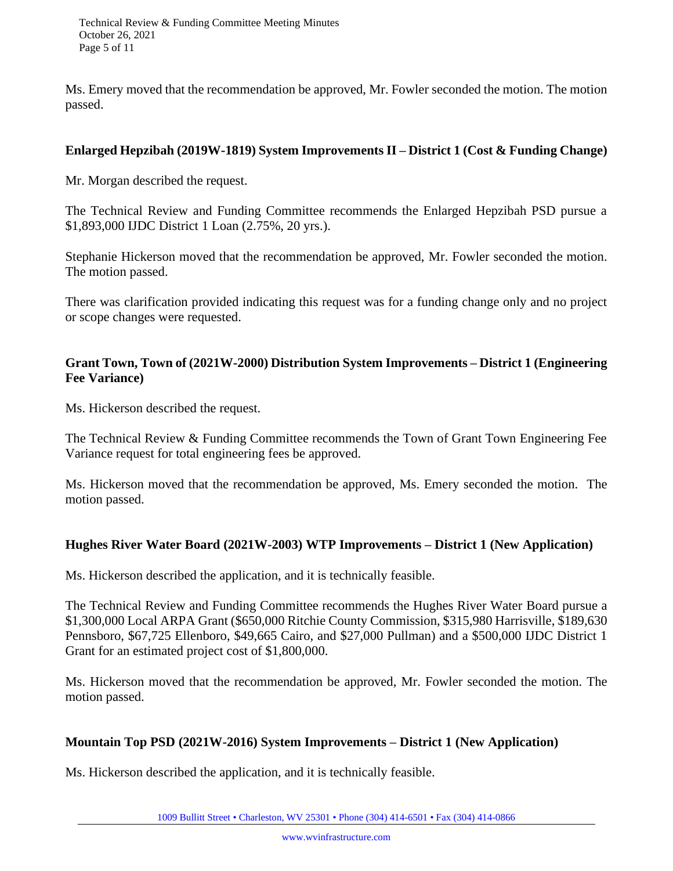Technical Review & Funding Committee Meeting Minutes October 26, 2021 Page 5 of 11

Ms. Emery moved that the recommendation be approved, Mr. Fowler seconded the motion. The motion passed.

## **Enlarged Hepzibah (2019W-1819) System Improvements II – District 1 (Cost & Funding Change)**

Mr. Morgan described the request.

The Technical Review and Funding Committee recommends the Enlarged Hepzibah PSD pursue a \$1,893,000 IJDC District 1 Loan (2.75%, 20 yrs.).

Stephanie Hickerson moved that the recommendation be approved, Mr. Fowler seconded the motion. The motion passed.

There was clarification provided indicating this request was for a funding change only and no project or scope changes were requested.

# **Grant Town, Town of (2021W-2000) Distribution System Improvements – District 1 (Engineering Fee Variance)**

Ms. Hickerson described the request.

The Technical Review & Funding Committee recommends the Town of Grant Town Engineering Fee Variance request for total engineering fees be approved.

Ms. Hickerson moved that the recommendation be approved, Ms. Emery seconded the motion. The motion passed.

#### **Hughes River Water Board (2021W-2003) WTP Improvements – District 1 (New Application)**

Ms. Hickerson described the application, and it is technically feasible.

The Technical Review and Funding Committee recommends the Hughes River Water Board pursue a \$1,300,000 Local ARPA Grant (\$650,000 Ritchie County Commission, \$315,980 Harrisville, \$189,630 Pennsboro, \$67,725 Ellenboro, \$49,665 Cairo, and \$27,000 Pullman) and a \$500,000 IJDC District 1 Grant for an estimated project cost of \$1,800,000.

Ms. Hickerson moved that the recommendation be approved, Mr. Fowler seconded the motion. The motion passed.

#### **Mountain Top PSD (2021W-2016) System Improvements – District 1 (New Application)**

Ms. Hickerson described the application, and it is technically feasible.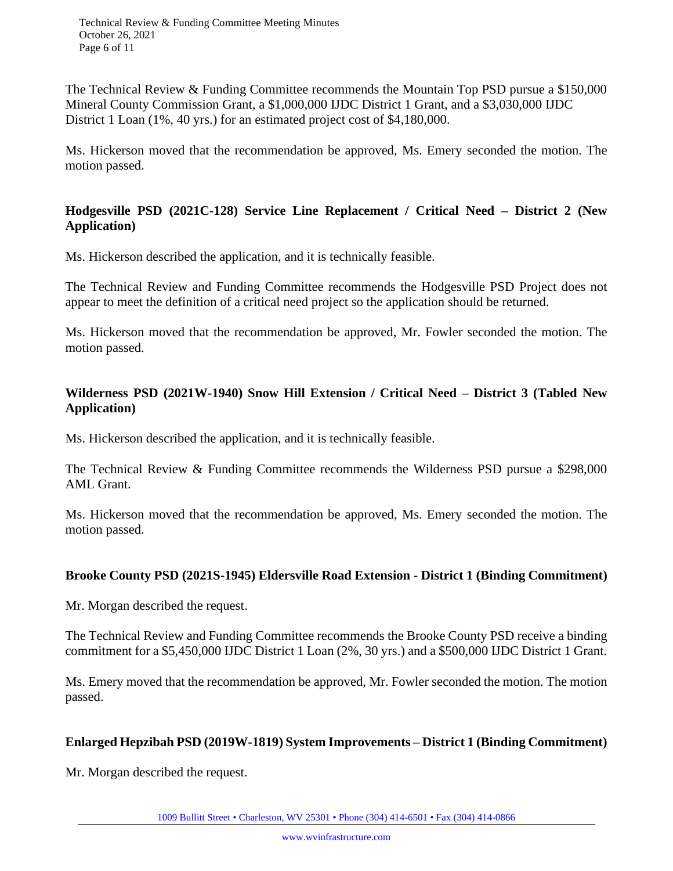The Technical Review & Funding Committee recommends the Mountain Top PSD pursue a \$150,000 Mineral County Commission Grant, a \$1,000,000 IJDC District 1 Grant, and a \$3,030,000 IJDC District 1 Loan (1%, 40 yrs.) for an estimated project cost of \$4,180,000.

Ms. Hickerson moved that the recommendation be approved, Ms. Emery seconded the motion. The motion passed.

# **Hodgesville PSD (2021C-128) Service Line Replacement / Critical Need – District 2 (New Application)**

Ms. Hickerson described the application, and it is technically feasible.

The Technical Review and Funding Committee recommends the Hodgesville PSD Project does not appear to meet the definition of a critical need project so the application should be returned.

Ms. Hickerson moved that the recommendation be approved, Mr. Fowler seconded the motion. The motion passed.

# **Wilderness PSD (2021W-1940) Snow Hill Extension / Critical Need – District 3 (Tabled New Application)**

Ms. Hickerson described the application, and it is technically feasible.

The Technical Review & Funding Committee recommends the Wilderness PSD pursue a \$298,000 AML Grant.

Ms. Hickerson moved that the recommendation be approved, Ms. Emery seconded the motion. The motion passed.

# **Brooke County PSD (2021S-1945) Eldersville Road Extension - District 1 (Binding Commitment)**

Mr. Morgan described the request.

The Technical Review and Funding Committee recommends the Brooke County PSD receive a binding commitment for a \$5,450,000 IJDC District 1 Loan (2%, 30 yrs.) and a \$500,000 IJDC District 1 Grant.

Ms. Emery moved that the recommendation be approved, Mr. Fowler seconded the motion. The motion passed.

# **Enlarged Hepzibah PSD (2019W-1819) System Improvements – District 1 (Binding Commitment)**

Mr. Morgan described the request.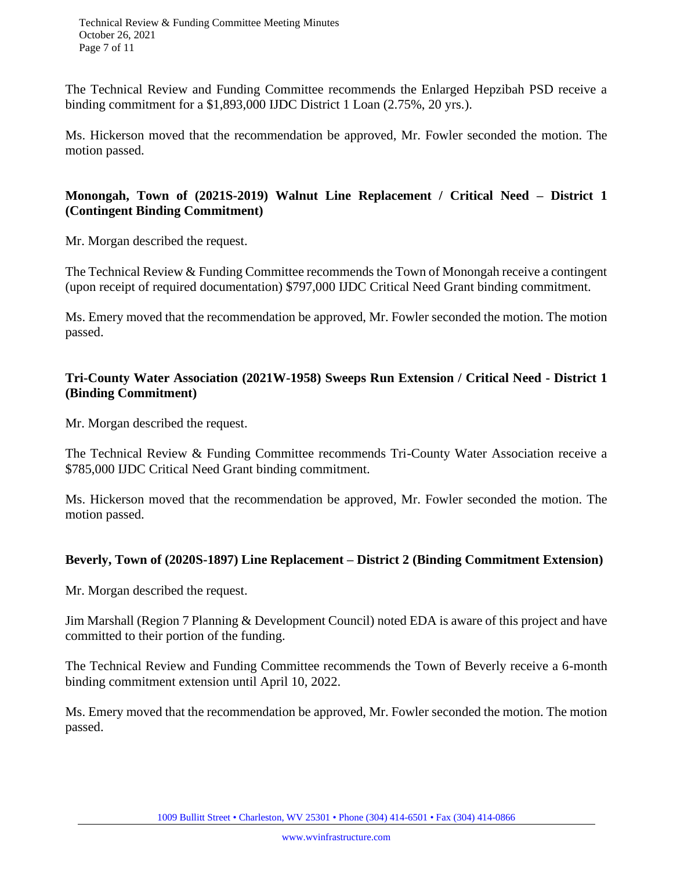Technical Review & Funding Committee Meeting Minutes October 26, 2021 Page 7 of 11

The Technical Review and Funding Committee recommends the Enlarged Hepzibah PSD receive a binding commitment for a \$1,893,000 IJDC District 1 Loan (2.75%, 20 yrs.).

Ms. Hickerson moved that the recommendation be approved, Mr. Fowler seconded the motion. The motion passed.

# **Monongah, Town of (2021S-2019) Walnut Line Replacement / Critical Need – District 1 (Contingent Binding Commitment)**

Mr. Morgan described the request.

The Technical Review & Funding Committee recommends the Town of Monongah receive a contingent (upon receipt of required documentation) \$797,000 IJDC Critical Need Grant binding commitment.

Ms. Emery moved that the recommendation be approved, Mr. Fowler seconded the motion. The motion passed.

# **Tri-County Water Association (2021W-1958) Sweeps Run Extension / Critical Need - District 1 (Binding Commitment)**

Mr. Morgan described the request.

The Technical Review & Funding Committee recommends Tri-County Water Association receive a \$785,000 IJDC Critical Need Grant binding commitment.

Ms. Hickerson moved that the recommendation be approved, Mr. Fowler seconded the motion. The motion passed.

#### **Beverly, Town of (2020S-1897) Line Replacement – District 2 (Binding Commitment Extension)**

Mr. Morgan described the request.

Jim Marshall (Region 7 Planning & Development Council) noted EDA is aware of this project and have committed to their portion of the funding.

The Technical Review and Funding Committee recommends the Town of Beverly receive a 6-month binding commitment extension until April 10, 2022.

Ms. Emery moved that the recommendation be approved, Mr. Fowler seconded the motion. The motion passed.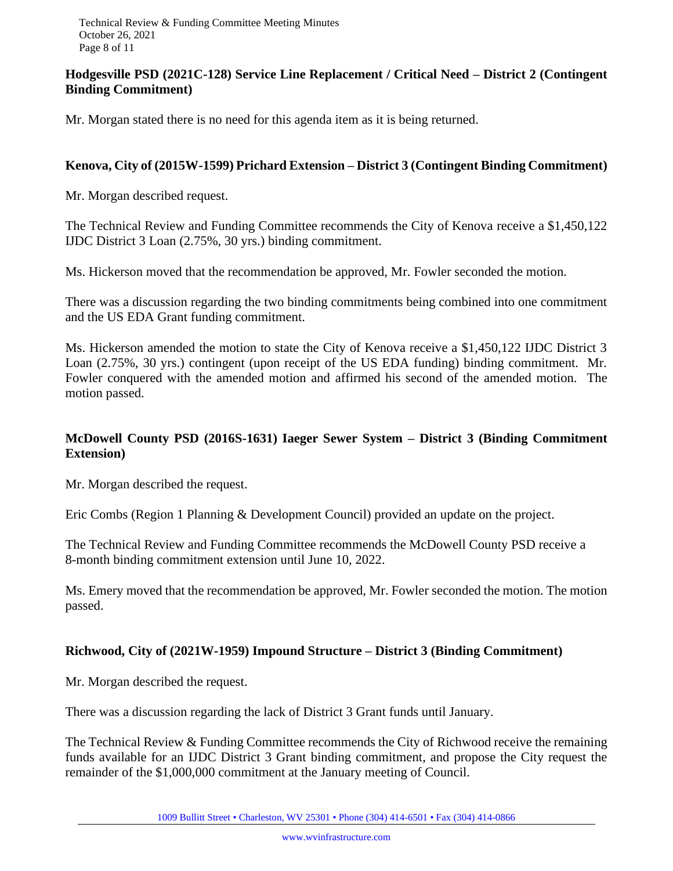# **Hodgesville PSD (2021C-128) Service Line Replacement / Critical Need – District 2 (Contingent Binding Commitment)**

Mr. Morgan stated there is no need for this agenda item as it is being returned.

## **Kenova, City of (2015W-1599) Prichard Extension – District 3 (Contingent Binding Commitment)**

Mr. Morgan described request.

The Technical Review and Funding Committee recommends the City of Kenova receive a \$1,450,122 IJDC District 3 Loan (2.75%, 30 yrs.) binding commitment.

Ms. Hickerson moved that the recommendation be approved, Mr. Fowler seconded the motion.

There was a discussion regarding the two binding commitments being combined into one commitment and the US EDA Grant funding commitment.

Ms. Hickerson amended the motion to state the City of Kenova receive a \$1,450,122 IJDC District 3 Loan (2.75%, 30 yrs.) contingent (upon receipt of the US EDA funding) binding commitment. Mr. Fowler conquered with the amended motion and affirmed his second of the amended motion. The motion passed.

# **McDowell County PSD (2016S-1631) Iaeger Sewer System – District 3 (Binding Commitment Extension)**

Mr. Morgan described the request.

Eric Combs (Region 1 Planning & Development Council) provided an update on the project.

The Technical Review and Funding Committee recommends the McDowell County PSD receive a 8-month binding commitment extension until June 10, 2022.

Ms. Emery moved that the recommendation be approved, Mr. Fowler seconded the motion. The motion passed.

# **Richwood, City of (2021W-1959) Impound Structure – District 3 (Binding Commitment)**

Mr. Morgan described the request.

There was a discussion regarding the lack of District 3 Grant funds until January.

The Technical Review & Funding Committee recommends the City of Richwood receive the remaining funds available for an IJDC District 3 Grant binding commitment, and propose the City request the remainder of the \$1,000,000 commitment at the January meeting of Council.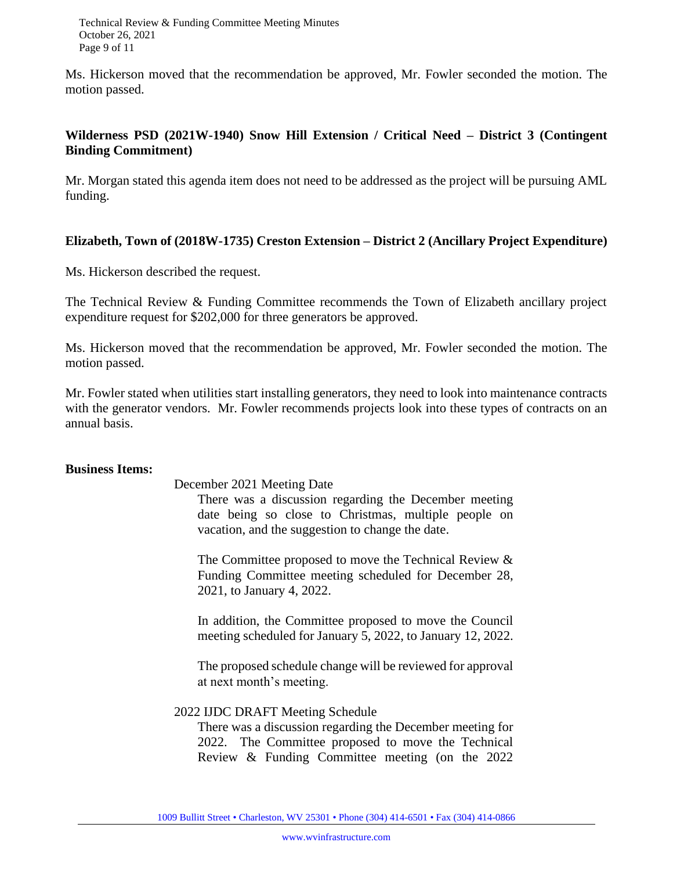Technical Review & Funding Committee Meeting Minutes October 26, 2021 Page 9 of 11

Ms. Hickerson moved that the recommendation be approved, Mr. Fowler seconded the motion. The motion passed.

## **Wilderness PSD (2021W-1940) Snow Hill Extension / Critical Need – District 3 (Contingent Binding Commitment)**

Mr. Morgan stated this agenda item does not need to be addressed as the project will be pursuing AML funding.

#### **Elizabeth, Town of (2018W-1735) Creston Extension – District 2 (Ancillary Project Expenditure)**

Ms. Hickerson described the request.

The Technical Review & Funding Committee recommends the Town of Elizabeth ancillary project expenditure request for \$202,000 for three generators be approved.

Ms. Hickerson moved that the recommendation be approved, Mr. Fowler seconded the motion. The motion passed.

Mr. Fowler stated when utilities start installing generators, they need to look into maintenance contracts with the generator vendors. Mr. Fowler recommends projects look into these types of contracts on an annual basis.

#### **Business Items:**

December 2021 Meeting Date

There was a discussion regarding the December meeting date being so close to Christmas, multiple people on vacation, and the suggestion to change the date.

The Committee proposed to move the Technical Review & Funding Committee meeting scheduled for December 28, 2021, to January 4, 2022.

In addition, the Committee proposed to move the Council meeting scheduled for January 5, 2022, to January 12, 2022.

The proposed schedule change will be reviewed for approval at next month's meeting.

#### 2022 IJDC DRAFT Meeting Schedule

There was a discussion regarding the December meeting for 2022. The Committee proposed to move the Technical Review & Funding Committee meeting (on the 2022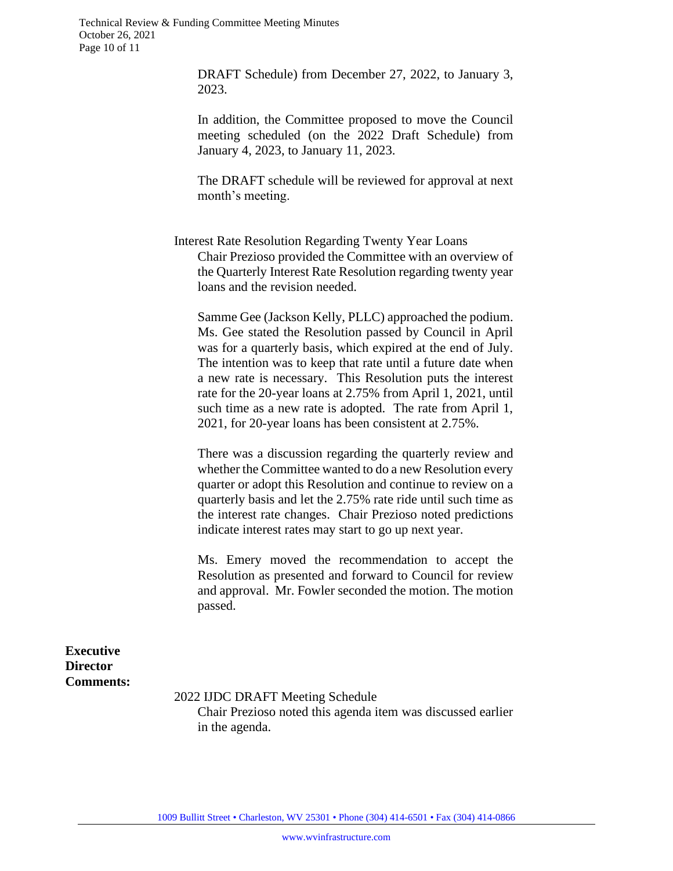DRAFT Schedule) from December 27, 2022, to January 3, 2023.

In addition, the Committee proposed to move the Council meeting scheduled (on the 2022 Draft Schedule) from January 4, 2023, to January 11, 2023.

The DRAFT schedule will be reviewed for approval at next month's meeting.

Interest Rate Resolution Regarding Twenty Year Loans Chair Prezioso provided the Committee with an overview of the Quarterly Interest Rate Resolution regarding twenty year loans and the revision needed.

Samme Gee (Jackson Kelly, PLLC) approached the podium. Ms. Gee stated the Resolution passed by Council in April was for a quarterly basis, which expired at the end of July. The intention was to keep that rate until a future date when a new rate is necessary. This Resolution puts the interest rate for the 20-year loans at 2.75% from April 1, 2021, until such time as a new rate is adopted. The rate from April 1, 2021, for 20-year loans has been consistent at 2.75%.

There was a discussion regarding the quarterly review and whether the Committee wanted to do a new Resolution every quarter or adopt this Resolution and continue to review on a quarterly basis and let the 2.75% rate ride until such time as the interest rate changes. Chair Prezioso noted predictions indicate interest rates may start to go up next year.

Ms. Emery moved the recommendation to accept the Resolution as presented and forward to Council for review and approval. Mr. Fowler seconded the motion. The motion passed.

**Executive Director Comments:**

2022 IJDC DRAFT Meeting Schedule

Chair Prezioso noted this agenda item was discussed earlier in the agenda.